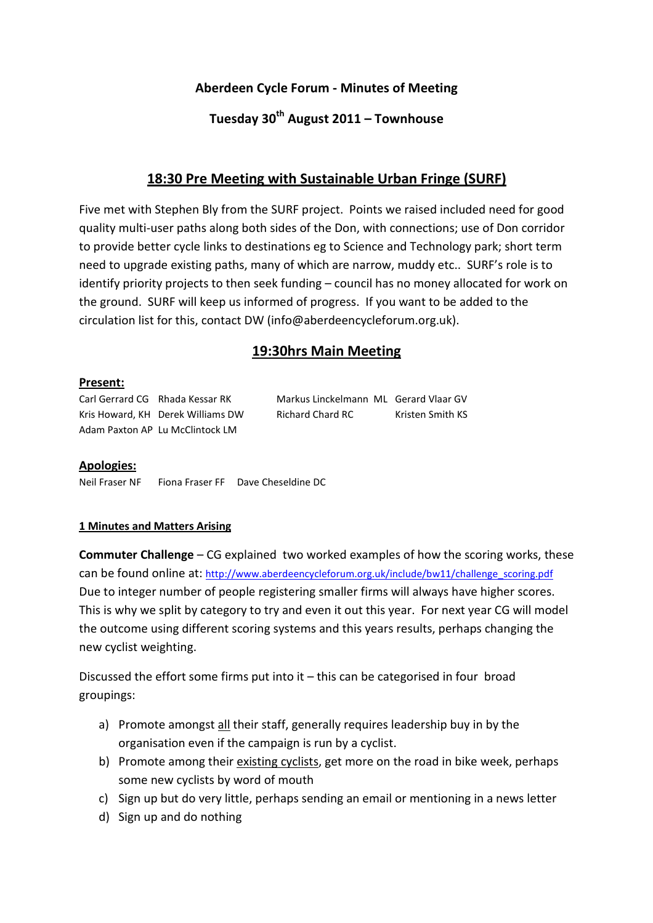## Aberdeen Cycle Forum - Minutes of Meeting

# Tuesday  $30^{th}$  August 2011 – Townhouse

# 18:30 Pre Meeting with Sustainable Urban Fringe (SURF)

Five met with Stephen Bly from the SURF project. Points we raised included need for good quality multi-user paths along both sides of the Don, with connections; use of Don corridor to provide better cycle links to destinations eg to Science and Technology park; short term need to upgrade existing paths, many of which are narrow, muddy etc.. SURF's role is to identify priority projects to then seek funding – council has no money allocated for work on the ground. SURF will keep us informed of progress. If you want to be added to the circulation list for this, contact DW (info@aberdeencycleforum.org.uk).

# 19:30hrs Main Meeting

#### Present:

Adam Paxton AP Lu McClintock LM

Carl Gerrard CG Rhada Kessar RK Markus Linckelmann ML Gerard Vlaar GV Kris Howard, KH Derek Williams DW Richard Chard RC Kristen Smith KS

#### Apologies:

Neil Fraser NF Fiona Fraser FF Dave Cheseldine DC

#### 1 Minutes and Matters Arising

Commuter Challenge – CG explained two worked examples of how the scoring works, these can be found online at: http://www.aberdeencycleforum.org.uk/include/bw11/challenge\_scoring.pdf Due to integer number of people registering smaller firms will always have higher scores. This is why we split by category to try and even it out this year. For next year CG will model the outcome using different scoring systems and this years results, perhaps changing the new cyclist weighting.

Discussed the effort some firms put into it – this can be categorised in four broad groupings:

- a) Promote amongst all their staff, generally requires leadership buy in by the organisation even if the campaign is run by a cyclist.
- b) Promote among their existing cyclists, get more on the road in bike week, perhaps some new cyclists by word of mouth
- c) Sign up but do very little, perhaps sending an email or mentioning in a news letter
- d) Sign up and do nothing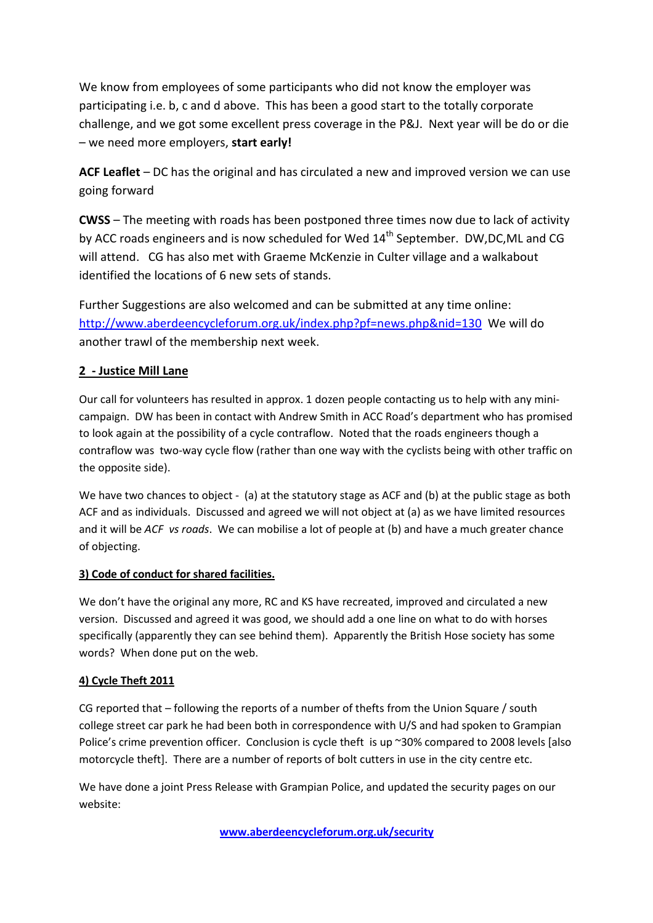We know from employees of some participants who did not know the employer was participating i.e. b, c and d above. This has been a good start to the totally corporate challenge, and we got some excellent press coverage in the P&J. Next year will be do or die – we need more employers, start early!

ACF Leaflet – DC has the original and has circulated a new and improved version we can use going forward

CWSS – The meeting with roads has been postponed three times now due to lack of activity by ACC roads engineers and is now scheduled for Wed 14<sup>th</sup> September. DW,DC,ML and CG will attend. CG has also met with Graeme McKenzie in Culter village and a walkabout identified the locations of 6 new sets of stands.

Further Suggestions are also welcomed and can be submitted at any time online: http://www.aberdeencycleforum.org.uk/index.php?pf=news.php&nid=130 We will do another trawl of the membership next week.

### 2 - Justice Mill Lane

Our call for volunteers has resulted in approx. 1 dozen people contacting us to help with any minicampaign. DW has been in contact with Andrew Smith in ACC Road's department who has promised to look again at the possibility of a cycle contraflow. Noted that the roads engineers though a contraflow was two-way cycle flow (rather than one way with the cyclists being with other traffic on the opposite side).

We have two chances to object - (a) at the statutory stage as ACF and (b) at the public stage as both ACF and as individuals. Discussed and agreed we will not object at (a) as we have limited resources and it will be ACF vs roads. We can mobilise a lot of people at (b) and have a much greater chance of objecting.

### 3) Code of conduct for shared facilities.

We don't have the original any more, RC and KS have recreated, improved and circulated a new version. Discussed and agreed it was good, we should add a one line on what to do with horses specifically (apparently they can see behind them). Apparently the British Hose society has some words? When done put on the web.

### 4) Cycle Theft 2011

CG reported that – following the reports of a number of thefts from the Union Square / south college street car park he had been both in correspondence with U/S and had spoken to Grampian Police's crime prevention officer. Conclusion is cycle theft is up ~30% compared to 2008 levels [also motorcycle theft]. There are a number of reports of bolt cutters in use in the city centre etc.

We have done a joint Press Release with Grampian Police, and updated the security pages on our website:

www.aberdeencycleforum.org.uk/security